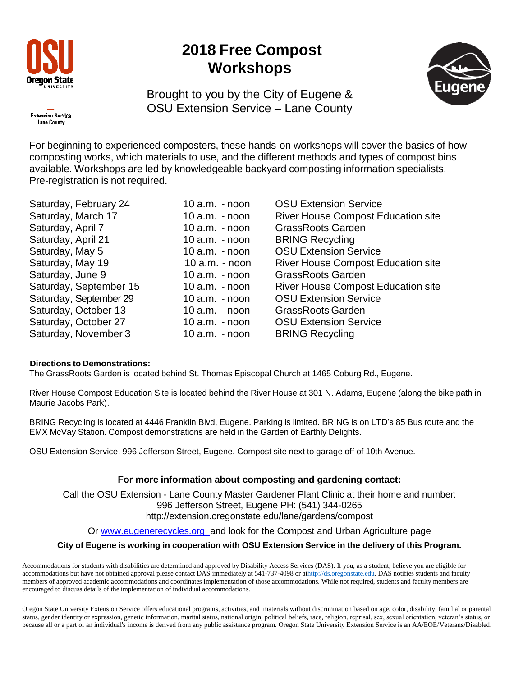

## **2018 Free Compost Workshops**



Brought to you by the City of Eugene & OSU Extension Service – Lane County



For beginning to experienced composters, these hands-on workshops will cover the basics of how composting works, which materials to use, and the different methods and types of compost bins available. Workshops are led by knowledgeable backyard composting information specialists. Pre-registration is not required.

| Saturday, February 24  |                  | <b>OSU Extension Service</b>                                                                                                                                                                                                           |
|------------------------|------------------|----------------------------------------------------------------------------------------------------------------------------------------------------------------------------------------------------------------------------------------|
| Saturday, March 17     |                  | <b>River House Compost Education site</b>                                                                                                                                                                                              |
| Saturday, April 7      |                  | <b>GrassRoots Garden</b>                                                                                                                                                                                                               |
| Saturday, April 21     |                  | <b>BRING Recycling</b>                                                                                                                                                                                                                 |
| Saturday, May 5        |                  | <b>OSU Extension Service</b>                                                                                                                                                                                                           |
| Saturday, May 19       | $10$ a.m. - noon | <b>River House Compost Education site</b>                                                                                                                                                                                              |
| Saturday, June 9       |                  | <b>GrassRoots Garden</b>                                                                                                                                                                                                               |
| Saturday, September 15 |                  | <b>River House Compost Education site</b>                                                                                                                                                                                              |
| Saturday, September 29 |                  | <b>OSU Extension Service</b>                                                                                                                                                                                                           |
| Saturday, October 13   |                  | <b>GrassRoots Garden</b>                                                                                                                                                                                                               |
| Saturday, October 27   |                  | <b>OSU Extension Service</b>                                                                                                                                                                                                           |
| Saturday, November 3   |                  | <b>BRING Recycling</b>                                                                                                                                                                                                                 |
|                        |                  | 10 $a.m. -$ noon<br>$10$ a.m. $-$ noon<br>10 $a.m. -$ noon<br>$10$ a.m. $-$ noon<br>$10$ a.m. $-$ noon<br>$10$ a.m. $-$ noon<br>$10$ a.m. $-$ noon<br>$10$ a.m. $-$ noon<br>10 $a.m. -$ noon<br>10 $a.m. -$ noon<br>$10$ a.m. $-$ noon |

#### **Directions to Demonstrations:**

The GrassRoots Garden is located behind St. Thomas Episcopal Church at 1465 Coburg Rd., Eugene.

River House Compost Education Site is located behind the River House at 301 N. Adams, Eugene (along the bike path in Maurie Jacobs Park).

BRING Recycling is located at 4446 Franklin Blvd, Eugene. Parking is limited. BRING is on LTD's 85 Bus route and the EMX McVay Station. Compost demonstrations are held in the Garden of Earthly Delights.

OSU Extension Service, 996 Jefferson Street, Eugene. Compost site next to garage off of 10th Avenue.

### **For more information about composting and gardening contact:**

Call the OSU Extension - Lane County Master Gardener Plant Clinic at their home and number: 996 Jefferson Street, Eugene PH: (541) 344-026[5](http://extension.oregonstate.edu/lane/gardens/compost) <http://extension.oregonstate.edu/lane/gardens/compost>

Or [www.eugenerecycles.org](http://www.eugenerecycles.org/) and look for the Compost and Urban Agriculture page

### **City of Eugene is working in cooperation with OSU Extension Service in the delivery of this Program.**

Accommodations for students with disabilities are determined and approved by Disability Access Services (DAS). If you, as a student, believe you are eligible for accommodations but have not obtained approval please contact DAS immediately at 541-737-4098 or a[thttp://ds.oregonstate.edu.](http://ds.oregonstate.edu/) DAS notifies students and faculty members of approved academic accommodations and coordinates implementation of those accommodations. While not required, students and faculty members are encouraged to discuss details of the implementation of individual accommodations.

Oregon State University Extension Service offers educational programs, activities, and materials without discrimination based on age, color, disability, familial or parental status, gender identity or expression, genetic information, marital status, national origin, political beliefs, race, religion, reprisal, sex, sexual orientation, veteran's status, or because all or a part of an individual's income is derived from any public assistance program. Oregon State University Extension Service is an AA/EOE/Veterans/Disabled.